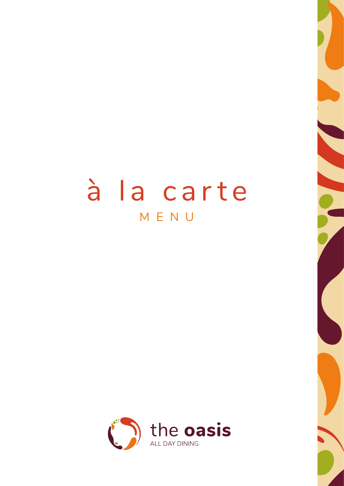# à la carte MENU

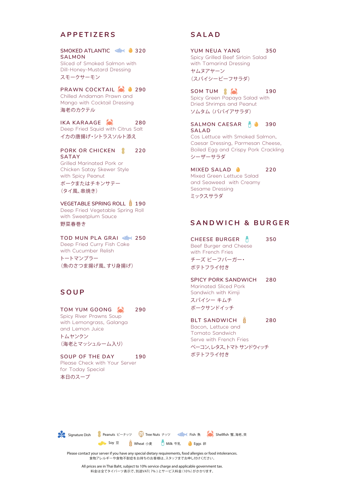# **APPETIZERS**

#### SMOKED ATLANTIC **320 SALMON**

Sliced of Smoked Salmon with Dill-Honey-Mustard Dressing スモークサーモン

# **PRAWN COCKTAIL 290**

Chilled Andaman Prawn and Mango with Cocktail Dressing 海老のカクテル

## **IKA KARAAGE 280**

Deep Fried Squid with Citrus Salt イカの唐揚げ・シトラスソルト添え

### **PORK OR CHICKEN 220 SATAY**

Grilled Marinated Pork or Chicken Satay Skewer Style with Spicy Peanut ポークまたはチキンサテー (タイ風、串焼き)

#### **VEGETABLE SPRING ROLL # 190**

Deep Fried Vegetable Spring Roll with Sweetplum Sauce 野菜春巻き

### **TOD MUN PLA GRAI 250**

Deep Fried Curry Fish Cake with Cucumber Relish トートマンプラー (魚のさつま揚げ風、すり身揚げ)

# **SOUP**

#### **TOM YUM GOONG 290**

Spicy River Prawns Soup with Lemongrass, Galanga and Lemon Juice トムヤンクン (海老とマッシュルーム入り)

## **SOUP OF THE DAY 190**

Please Check with Your Server for Today Special 本日のスープ

# **SALAD**

**YUM NEUA YANG 350** Spicy Grilled Beef Sirloin Salad with Tamarind Dressing

ヤムヌアヤーン (スパイシービーフサラダ)

#### **SOM TUM 190** Spicy Green Papaya Salad with Dried Shrimps and Peanut ソムタム (パパイアサラダ)

SALMON CAESAR **A 390 SALAD** Cos Lettuce with Smoked Salmon, Caesar Dressing, Parmesan Cheese, Boiled Egg and Crispy Pork Crackling シーザーサラダ

# **MIXED SALAD 220**

Mixed Green Lettuce Salad and Seaweed with Creamy Sesame Dressing ミックスサラダ

# **SANDWICH & BURGER**

**CHEESE BURGER 350** Beef Burger and Cheese with French Fries チーズ ビーフバーガー・ ポテトフライ付き

**SPICY PORK SANDWICH 280** Marinated Sliced Pork Sandwich with Kimji スパイシー キムチ ポークサンドイッチ

**BLT SANDWICH 280** Bacon, Lettuce and Tomato Sandwich Serve with French Fries ベーコン、レタス、トマトサンドウィッチ ポテトフライ付き



Please contact your server if you have any special dietary requirements, food allergies or food intolerances. 食物アレルギーや食物不耐症をお持ちのお客様は、スタッフまでお申し付けください。

All prices are in Thai Baht, subject to 10% service charge and applicable government tax. 料金は全てタイバーツ表示で、別途VAT( 7% ) とサービス料金 (10%) がかかります。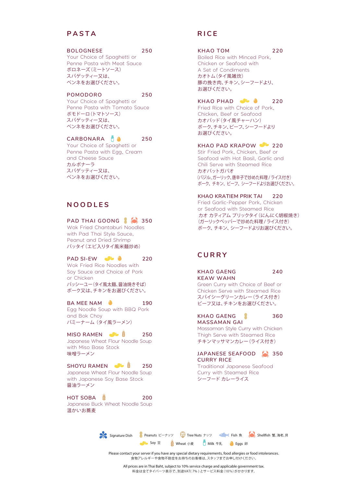# **PASTA**

#### **BOLOGNESE 250**

Your Choice of Spaghetti or Penne Pasta with Meat Sauce ボロネーズ(ミートソース) スパゲッティー又は、 ペンネをお選びください。

**POMODORO 250**

Your Choice of Spaghetti or Penne Pasta with Tomato Sauce ポモドーロ(トマトソース) スパゲッティー又は、 ペンネをお選びください。

**CARBONARA 250**

Your Choice of Spaghetti or Penne Pasta with Egg, Cream and Cheese Sauce カルボナーラ スパゲッティー又は、 ペンネをお選びください。

# **NOODLES**

## **PAD THAI GOONG 350**

Wok Fried Chantaburi Noodles with Pad Thai Style Sauce, Peanut and Dried Shrimp パッタイ(エビ入りタイ風米麺炒め)

# **PAD SI-EW 220** 220

Wok Fried Rice Noodles with Soy Sauce and Choice of Pork or Chicken パッシーユー(タイ風太麺、醤油焼きそば) ポーク又は、チキンをお選びください。

#### **BA MEE NAM 4** 190 Egg Noodle Soup with BBQ Pork and Bok Choy

バミーナーム (タイ風ラーメン)

#### **MISO RAMEN** 250 Japanese Wheat Flour Noodle Soup with Miso Base Stock 味噌ラーメン

SHOYU RAMEN **350** Japanese Wheat Flour Noodle Soup with Japanese Soy Base Stock 醤油ラーメン

**HOT SOBA 200** Japanese Buck Wheat Noodle Soup 温かいお蕎麦

# **RICE**

#### **KHAO TOM 220**

Boiled Rice with Minced Pork, Chicken or Seafood with A Set of Condiments カオトム(タイ風雑炊) 豚の挽き肉、チキン、シーフードより、 お選びください。

# **KHAO PHAD 220**

Fried Rice with Choice of Pork, Chicken, Beef or Seafood カオパッド(タイ風チャーハン) ポーク、チキン、ビーフ、シーフードより お選びください。

#### **KHAO PAD KRAPOW 220**

Stir Fried Pork, Chicken, Beef or Seafood with Hot Basil, Garlic and Chili Serve with Steamed Rice カオパットガパオ (バジル、ガーリック、唐辛子で炒めた料理 / ライス付き) ポーク、チキン、ビーフ、シーフードよりお選びください。

**KHAO KRATIEM PRIK TAI 220**

Fried Garlic-Pepper Pork, Chicken or Seafood with Steamed Rice カオ カティアム プリックタイ(にんにく胡椒焼き) (ガーリックペッパーで炒めた料理 / ライス付き) ポーク、チキン、シーフードよりお選びください。

# **CURRY**

**KHAO GAENG 240 KEAW WAHN**

Green Curry with Choice of Beef or Chicken Serve with Steamed Rice スパイシーグリーンカレー(ライス付き) ビーフ又は、チキンをお選びください。

**KHAO GAENG 360 MASSAMAN GAI** Massaman Style Curry with Chicken Thigh Serve with Steamed Rice

チキンマッサマンカレー(ライス付き) JAPANESE SEAFOOD **350** 

**CURRY RICE** Traditional Japanese Seafood Curry with Steamed Rice シーフード カレーライス



Please contact your server if you have any special dietary requirements, food allergies or food intolerances. 食物アレルギーや食物不耐症をお持ちのお客様は、スタッフまでお申し付けください。

All prices are in Thai Baht, subject to 10% service charge and applicable government tax. 料金は全てタイバーツ表示で、別途VAT( 7% ) とサービス料金(10%) がかかります。